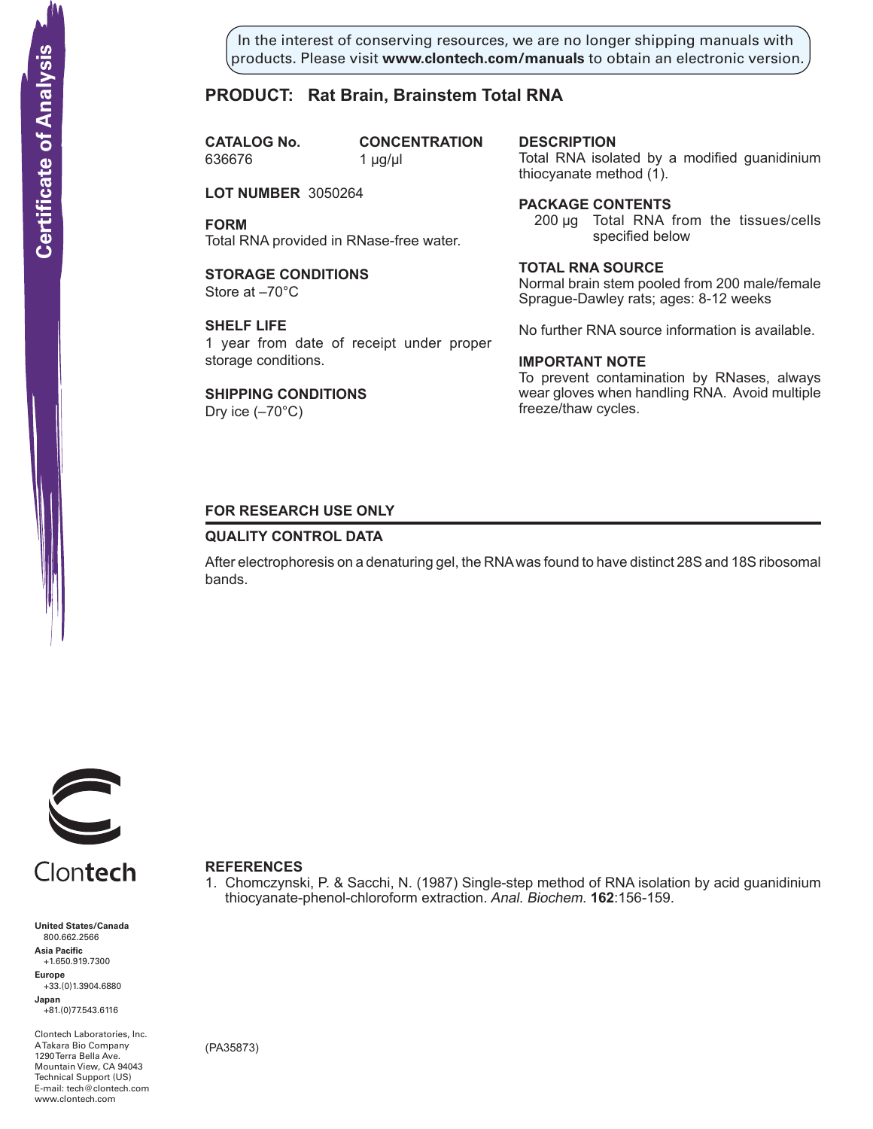In the interest of conserving resources, we are no longer shipping manuals with products. Please visit **www.clontech.com/manuals** to obtain an electronic version.

# **PRODUCT: Rat Brain, Brainstem Total RNA**

**CATALOG** No. 636676 1 µg/µl

**CONCENTRATION** 

**LOT NUMBER** 3050264

**FORM** Total RNA provided in RNase-free water.

**STORAGE CONDITIONS** Store at –70°C

**SHELF LIFE** 1 year from date of receipt under proper storage conditions.

**SHIPPING CONDITIONS**

Dry ice (–70°C)

**description**

Total RNA isolated by a modified guanidinium thiocyanate method (1).

## **Package Contents**

200 µg Total RNA from the tissues/cells specified below

#### **Total RNA source**

Normal brain stem pooled from 200 male/female Sprague-Dawley rats; ages: 8-12 weeks

No further RNA source information is available.

#### **IMPORTANT NOTE**

To prevent contamination by RNases, always wear gloves when handling RNA. Avoid multiple freeze/thaw cycles.

## **FOR RESEARCH USE ONLY**

## **QUALITY CONTROL DATA**

After electrophoresis on a denaturing gel, the RNA was found to have distinct 28S and 18S ribosomal bands.

1. Chomczynski, P. & Sacchi, N. (1987) Single-step method of RNA isolation by acid guanidinium

thiocyanate-phenol-chloroform extraction. Anal. Biochem. **162**:156-159.



Clontech

**United States/Canada** 800.662.2566 **Asia Pacific** +1.650.919.7300 **Europe** +33.(0)1.3904.6880 **Japan** +81.(0)77.543.6116 **Solution Control Control Control Control Control Control Control Control Control Control Control Control Control Control Control Control Control Control Control Control Control Control Control Control Control Control Cont** 

Clontech Laboratories, Inc. A Takara Bio Company 1290 Terra Bella Ave. Mountain View, CA 94043 Technical Support (US) E-mail: tech@clontech.com

(PA35873)

**References**